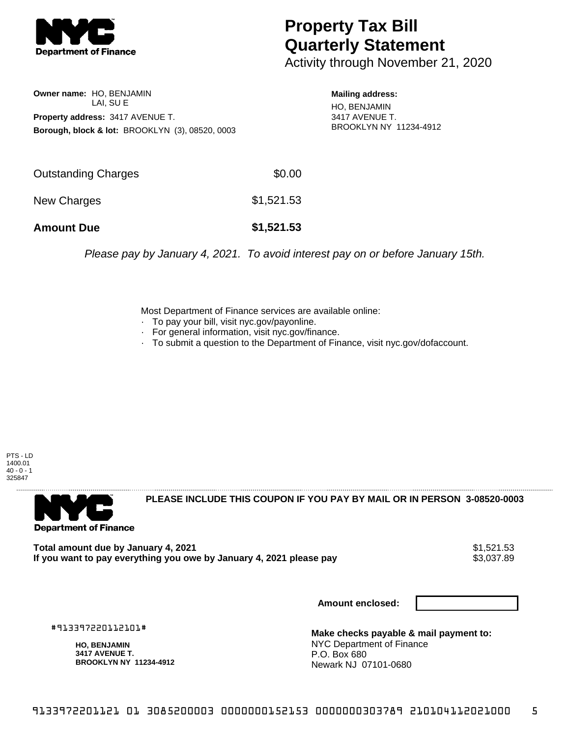

## **Property Tax Bill Quarterly Statement**

Activity through November 21, 2020

**Owner name:** HO, BENJAMIN LAI, SU E **Property address:** 3417 AVENUE T. **Borough, block & lot:** BROOKLYN (3), 08520, 0003

**Mailing address:** HO, BENJAMIN 3417 AVENUE T. BROOKLYN NY 11234-4912

| <b>Amount Due</b>   | \$1,521.53 |
|---------------------|------------|
| New Charges         | \$1,521.53 |
| Outstanding Charges | \$0.00     |

Please pay by January 4, 2021. To avoid interest pay on or before January 15th.

Most Department of Finance services are available online:

- · To pay your bill, visit nyc.gov/payonline.
- For general information, visit nyc.gov/finance.
- · To submit a question to the Department of Finance, visit nyc.gov/dofaccount.





**PLEASE INCLUDE THIS COUPON IF YOU PAY BY MAIL OR IN PERSON 3-08520-0003** 

**Total amount due by January 4, 2021**<br>If you want to pay everything you owe by January 4, 2021 please pay **show that the summer way of the s**3,037.89 If you want to pay everything you owe by January 4, 2021 please pay

**Amount enclosed:**

#913397220112101#

**HO, BENJAMIN 3417 AVENUE T. BROOKLYN NY 11234-4912**

**Make checks payable & mail payment to:** NYC Department of Finance P.O. Box 680 Newark NJ 07101-0680